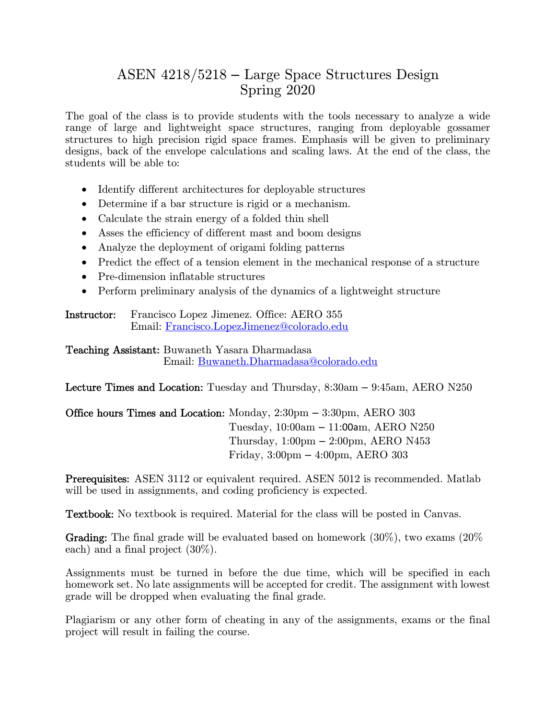# ASEN 4218/5218 – Large Space Structures Design Spring 2020

The goal of the class is to provide students with the tools necessary to analyze a wide range of large and lightweight space structures, ranging from deployable gossamer structures to high precision rigid space frames. Emphasis will be given to preliminary designs, back of the envelope calculations and scaling laws. At the end of the class, the students will be able to:

- Identify different architectures for deployable structures
- Determine if a bar structure is rigid or a mechanism.
- Calculate the strain energy of a folded thin shell
- Asses the efficiency of different mast and boom designs
- Analyze the deployment of origami folding patterns
- Predict the effect of a tension element in the mechanical response of a structure
- Pre-dimension inflatable structures
- Perform preliminary analysis of the dynamics of a lightweight structure

Instructor: Francisco Lopez Jimenez. Office: AERO 355 Email: Francisco.LopezJimenez@colorado.edu

Teaching Assistant: Buwaneth Yasara Dharmadasa Email: Buwaneth.Dharmadasa@colorado.edu

Lecture Times and Location: Tuesday and Thursday, 8:30am – 9:45am, AERO N250

Office hours Times and Location: Monday, 2:30pm – 3:30pm, AERO 303 Tuesday, 10:00am – 11:00am, AERO N250 Thursday, 1:00pm – 2:00pm, AERO N453 Friday, 3:00pm – 4:00pm, AERO 303

Prerequisites: ASEN 3112 or equivalent required. ASEN 5012 is recommended. Matlab will be used in assignments, and coding proficiency is expected.

Textbook: No textbook is required. Material for the class will be posted in Canvas.

Grading: The final grade will be evaluated based on homework (30%), two exams (20% each) and a final project (30%).

Assignments must be turned in before the due time, which will be specified in each homework set. No late assignments will be accepted for credit. The assignment with lowest grade will be dropped when evaluating the final grade.

Plagiarism or any other form of cheating in any of the assignments, exams or the final project will result in failing the course.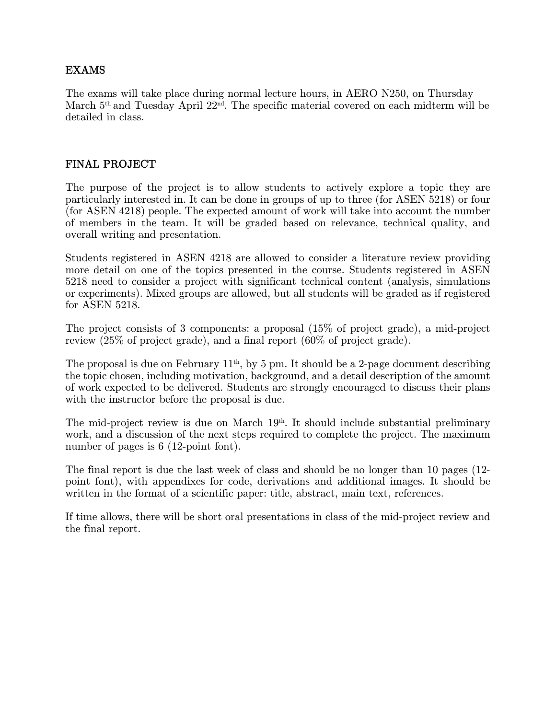## EXAMS

The exams will take place during normal lecture hours, in AERO N250, on Thursday March 5<sup>th</sup> and Tuesday April 22<sup>nd</sup>. The specific material covered on each midterm will be detailed in class.

## FINAL PROJECT

The purpose of the project is to allow students to actively explore a topic they are particularly interested in. It can be done in groups of up to three (for ASEN 5218) or four (for ASEN 4218) people. The expected amount of work will take into account the number of members in the team. It will be graded based on relevance, technical quality, and overall writing and presentation.

Students registered in ASEN 4218 are allowed to consider a literature review providing more detail on one of the topics presented in the course. Students registered in ASEN 5218 need to consider a project with significant technical content (analysis, simulations or experiments). Mixed groups are allowed, but all students will be graded as if registered for ASEN 5218.

The project consists of 3 components: a proposal (15% of project grade), a mid-project review (25% of project grade), and a final report (60% of project grade).

The proposal is due on February  $11<sup>th</sup>$ , by 5 pm. It should be a 2-page document describing the topic chosen, including motivation, background, and a detail description of the amount of work expected to be delivered. Students are strongly encouraged to discuss their plans with the instructor before the proposal is due.

The mid-project review is due on March 19<sup>th</sup>. It should include substantial preliminary work, and a discussion of the next steps required to complete the project. The maximum number of pages is 6 (12-point font).

The final report is due the last week of class and should be no longer than 10 pages (12 point font), with appendixes for code, derivations and additional images. It should be written in the format of a scientific paper: title, abstract, main text, references.

If time allows, there will be short oral presentations in class of the mid-project review and the final report.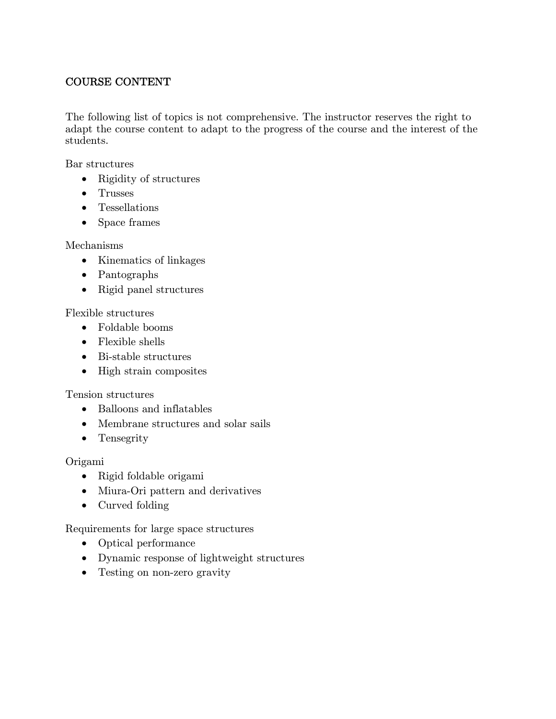# COURSE CONTENT

The following list of topics is not comprehensive. The instructor reserves the right to adapt the course content to adapt to the progress of the course and the interest of the students.

Bar structures

- Rigidity of structures
- Trusses
- Tessellations
- Space frames

#### Mechanisms

- Kinematics of linkages
- Pantographs
- Rigid panel structures

#### Flexible structures

- Foldable booms
- Flexible shells
- $\bullet$  Bi-stable structures
- High strain composites

#### Tension structures

- Balloons and inflatables
- Membrane structures and solar sails
- Tensegrity

#### Origami

- Rigid foldable origami
- Miura-Ori pattern and derivatives
- Curved folding

#### Requirements for large space structures

- Optical performance
- Dynamic response of lightweight structures
- Testing on non-zero gravity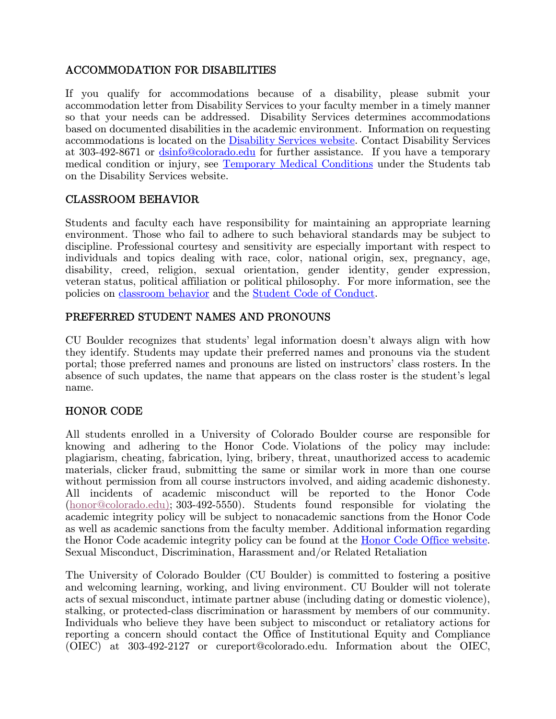# ACCOMMODATION FOR DISABILITIES

If you qualify for accommodations because of a disability, please submit your accommodation letter from Disability Services to your faculty member in a timely manner so that your needs can be addressed. Disability Services determines accommodations based on documented disabilities in the academic environment. Information on requesting accommodations is located on the Disability Services website. Contact Disability Services at 303-492-8671 or dsinfo@colorado.edu for further assistance. If you have a temporary medical condition or injury, see Temporary Medical Conditions under the Students tab on the Disability Services website.

# CLASSROOM BEHAVIOR

Students and faculty each have responsibility for maintaining an appropriate learning environment. Those who fail to adhere to such behavioral standards may be subject to discipline. Professional courtesy and sensitivity are especially important with respect to individuals and topics dealing with race, color, national origin, sex, pregnancy, age, disability, creed, religion, sexual orientation, gender identity, gender expression, veteran status, political affiliation or political philosophy. For more information, see the policies on classroom behavior and the Student Code of Conduct.

## PREFERRED STUDENT NAMES AND PRONOUNS

CU Boulder recognizes that students' legal information doesn't always align with how they identify. Students may update their preferred names and pronouns via the student portal; those preferred names and pronouns are listed on instructors' class rosters. In the absence of such updates, the name that appears on the class roster is the student's legal name.

# HONOR CODE

All students enrolled in a University of Colorado Boulder course are responsible for knowing and adhering to the Honor Code. Violations of the policy may include: plagiarism, cheating, fabrication, lying, bribery, threat, unauthorized access to academic materials, clicker fraud, submitting the same or similar work in more than one course without permission from all course instructors involved, and aiding academic dishonesty. All incidents of academic misconduct will be reported to the Honor Code (honor@colorado.edu); 303-492-5550). Students found responsible for violating the academic integrity policy will be subject to nonacademic sanctions from the Honor Code as well as academic sanctions from the faculty member. Additional information regarding the Honor Code academic integrity policy can be found at the Honor Code Office website. Sexual Misconduct, Discrimination, Harassment and/or Related Retaliation

The University of Colorado Boulder (CU Boulder) is committed to fostering a positive and welcoming learning, working, and living environment. CU Boulder will not tolerate acts of sexual misconduct, intimate partner abuse (including dating or domestic violence), stalking, or protected-class discrimination or harassment by members of our community. Individuals who believe they have been subject to misconduct or retaliatory actions for reporting a concern should contact the Office of Institutional Equity and Compliance (OIEC) at 303-492-2127 or cureport@colorado.edu. Information about the OIEC,